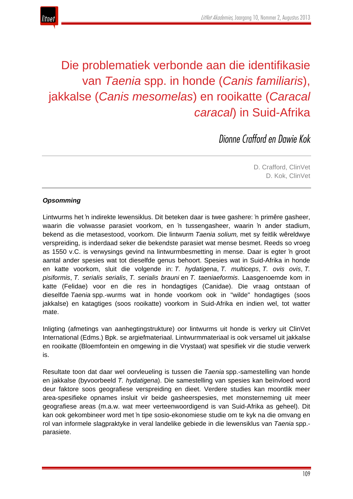



# Die problematiek verbonde aan die identifikasie van *Taenia* spp. in honde (*Canis familiaris*), jakkalse (*Canis mesomelas*) en rooikatte (*Caracal caracal*) in Suid-Afrika

*Dionne Crafford en Dawie Kok*

D. Crafford, ClinVet D. Kok, ClinVet

#### *Opsomming*

Lintwurms het 'n indirekte lewensiklus. Dit beteken daar is twee gashere: 'n primêre gasheer, waarin die volwasse parasiet voorkom, en 'n tussengasheer, waarin 'n ander stadium, bekend as die metasestood, voorkom. Die lintwurm *Taenia solium,* met sy feitlik wêreldwye verspreiding, is inderdaad seker die bekendste parasiet wat mense besmet. Reeds so vroeg as 1550 v.C. is verwysings gevind na lintwurmbesmetting in mense. Daar is egter 'n groot aantal ander spesies wat tot dieselfde genus behoort. Spesies wat in Suid-Afrika in honde en katte voorkom, sluit die volgende in: *T. hydatigena*, *T. multiceps*, *T. ovis ovis*, *T. pisiformis*, *T. serialis serialis*, *T. serialis brauni* en *T. taeniaeformis*. Laasgenoemde kom in katte (Felidae) voor en die res in hondagtiges (Canidae). Die vraag ontstaan of dieselfde *Taenia* spp.-wurms wat in honde voorkom ook in "wilde" hondagtiges (soos jakkalse) en katagtiges (soos rooikatte) voorkom in Suid-Afrika en indien wel, tot watter mate.

Inligting (afmetings van aanhegtingstrukture) oor lintwurms uit honde is verkry uit ClinVet International (Edms.) Bpk. se argiefmateriaal. Lintwurmmateriaal is ook versamel uit jakkalse en rooikatte (Bloemfontein en omgewing in die Vrystaat) wat spesifiek vir die studie verwerk is.

Resultate toon dat daar wel oorvleueling is tussen die *Taenia* spp.-samestelling van honde en jakkalse (byvoorbeeld *T. hydatigena*). Die samestelling van spesies kan beïnvloed word deur faktore soos geografiese verspreiding en dieet. Verdere studies kan moontlik meer area-spesifieke opnames insluit vir beide gasheerspesies, met monsterneming uit meer geografiese areas (m.a.w. wat meer verteenwoordigend is van Suid-Afrika as geheel). Dit kan ook gekombineer word met 'n tipe sosio-ekonomiese studie om te kyk na die omvang en rol van informele slagpraktyke in veral landelike gebiede in die lewensiklus van *Taenia* spp. parasiete.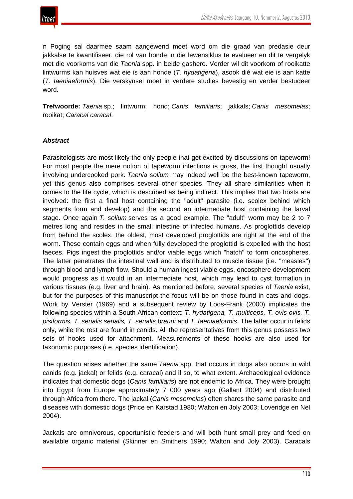

'n Poging sal daarmee saam aangewend moet word om die graad van predasie deur jakkalse te kwantifiseer, die rol van honde in die lewensiklus te evalueer en dit te vergelyk met die voorkoms van die *Taenia* spp. in beide gashere. Verder wil dit voorkom of rooikatte lintwurms kan huisves wat eie is aan honde (*T. hydatigena*), asook dié wat eie is aan katte (*T. taeniaeformis*). Die verskynsel moet in verdere studies bevestig en verder bestudeer word.

**Trefwoorde:** *Taenia* sp.; lintwurm; hond; *Canis familiaris*; jakkals; *Canis mesomelas*; rooikat; *Caracal caracal*.

#### *Abstract*

Parasitologists are most likely the only people that get excited by discussions on tapeworm! For most people the mere notion of tapeworm infections is gross, the first thought usually involving undercooked pork. *Taenia solium* may indeed well be the best-known tapeworm, yet this genus also comprises several other species. They all share similarities when it comes to the life cycle, which is described as being indirect. This implies that two hosts are involved: the first a final host containing the "adult" parasite (i.e. scolex behind which segments form and develop) and the second an intermediate host containing the larval stage. Once again *T. solium* serves as a good example. The "adult" worm may be 2 to 7 metres long and resides in the small intestine of infected humans. As proglottids develop from behind the scolex, the oldest, most developed proglottids are right at the end of the worm. These contain eggs and when fully developed the proglottid is expelled with the host faeces. Pigs ingest the proglottids and/or viable eggs which "hatch" to form oncospheres. The latter penetrates the intestinal wall and is distributed to muscle tissue (i.e. "measles") through blood and lymph flow. Should a human ingest viable eggs, oncosphere development would progress as it would in an intermediate host, which may lead to cyst formation in various tissues (e.g. liver and brain). As mentioned before, several species of *Taenia* exist, but for the purposes of this manuscript the focus will be on those found in cats and dogs. Work by Verster (1969) and a subsequent review by Loos-Frank (2000) implicates the following species within a South African context: *T. hydatigena, T. multiceps, T. ovis ovis, T. pisiformis, T. serialis serialis, T. serialis brauni* and *T. taeniaeformis.* The latter occur in felids only, while the rest are found in canids. All the representatives from this genus possess two sets of hooks used for attachment. Measurements of these hooks are also used for taxonomic purposes (i.e. species identification).

The question arises whether the same *Taenia* spp. that occurs in dogs also occurs in wild canids (e.g. jackal) or felids (e.g. caracal) and if so, to what extent. Archaeological evidence indicates that domestic dogs (*Canis familiaris*) are not endemic to Africa. They were brought into Egypt from Europe approximately 7 000 years ago (Gallant 2004) and distributed through Africa from there. The jackal (*Canis mesomelas*) often shares the same parasite and diseases with domestic dogs (Price en Karstad 1980; Walton en Joly 2003; Loveridge en Nel 2004).

Jackals are omnivorous, opportunistic feeders and will both hunt small prey and feed on available organic material (Skinner en Smithers 1990; Walton and Joly 2003). Caracals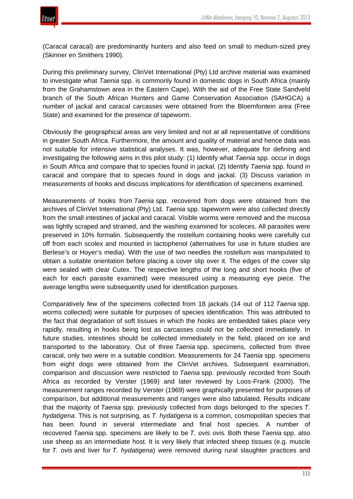(Caracal caracal) are predominantly hunters and also feed on small to medium-sized prey (Skinner en Smithers 1990).

During this preliminary survey, ClinVet International (Pty) Ltd archive material was examined to investigate what *Taenia* spp. is commonly found in domestic dogs in South Africa (mainly from the Grahamstown area in the Eastern Cape). With the aid of the Free State Sandveld branch of the South African Hunters and Game Conservation Association (SAHGCA) a number of jackal and caracal carcasses were obtained from the Bloemfontein area (Free State) and examined for the presence of tapeworm.

Obviously the geographical areas are very limited and not at all representative of conditions in greater South Africa. Furthermore, the amount and quality of material and hence data was not suitable for intensive statistical analyses. It was, however, adequate for defining and investigating the following aims in this pilot study: (1) Identify what *Taenia* spp. occur in dogs in South Africa and compare that to species found in jackal. (2) Identify *Taenia* spp. found in caracal and compare that to species found in dogs and jackal. (3) Discuss variation in measurements of hooks and discuss implications for identification of specimens examined.

Measurements of hooks from *Taenia* spp. recovered from dogs were obtained from the archives of ClinVet International (Pty) Ltd. *Taenia* spp. tapeworm were also collected directly from the small intestines of jackal and caracal. Visible worms were removed and the mucosa was lightly scraped and strained, and the washing examined for scoleces. All parasites were preserved in 10% formalin. Subsequently the rostellum containing hooks were carefully cut off from each scolex and mounted in lactophenol (alternatives for use in future studies are Berlese's or Hoyer's media). With the use of two needles the rostellum was manipulated to obtain a suitable orientation before placing a cover slip over it. The edges of the cover slip were sealed with clear Cutex. The respective lengths of the long and short hooks (five of each for each parasite examined) were measured using a measuring eye piece. The average lengths were subsequently used for identification purposes.

Comparatively few of the specimens collected from 18 jackals (14 out of 112 *Taenia* spp. worms collected) were suitable for purposes of species identification. This was attributed to the fact that degradation of soft tissues in which the hooks are embedded takes place very rapidly, resulting in hooks being lost as carcasses could not be collected immediately. In future studies, intestines should be collected immediately in the field, placed on ice and transported to the laboratory. Out of three *Taenia* spp. specimens, collected from three caracal, only two were in a suitable condition. Measurements for 24 *Taenia* spp. specimens from eight dogs were obtained from the ClinVet archives. Subsequent examination, comparison and discussion were restricted to *Taenia* spp. previously recorded from South Africa as recorded by Verster (1969) and later reviewed by Loos-Frank (2000). The measurement ranges recorded by Verster (1969) were graphically presented for purposes of comparison, but additional measurements and ranges were also tabulated. Results indicate that the majority of *Taenia* spp. previously collected from dogs belonged to the species *T. hydatigena*. This is not surprising, as *T. hydatigena* is a common, cosmopolitan species that has been found in several intermediate and final host species. A number of recovered *Taenia* spp. specimens are likely to be *T. ovis ovis.* Both these *Taenia* spp. also use sheep as an intermediate host. It is very likely that infected sheep tissues (e.g. muscle for *T. ovis* and liver for *T. hydatigena*) were removed during rural slaughter practices and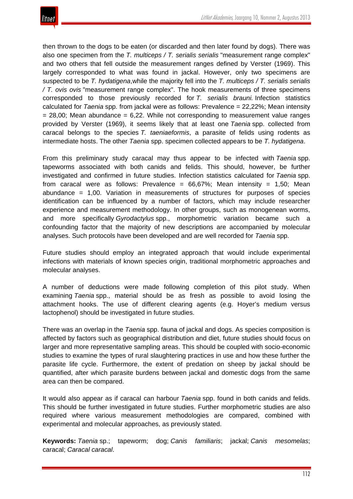

then thrown to the dogs to be eaten (or discarded and then later found by dogs). There was also one specimen from the *T. multiceps / T. serialis serialis* "measurement range complex" and two others that fell outside the measurement ranges defined by Verster (1969). This largely corresponded to what was found in jackal. However, only two specimens are suspected to be *T. hydatigena*,while the majority fell into the *T. multiceps / T. serialis serialis / T. ovis ovis* "measurement range complex". The hook measurements of three specimens corresponded to those previously recorded for *T. serialis brauni.* Infection statistics calculated for *Taenia* spp. from jackal were as follows: Prevalence = 22,22%; Mean intensity  $= 28,00$ ; Mean abundance  $= 6,22$ . While not corresponding to measurement value ranges provided by Verster (1969), it seems likely that at least one *Taenia* spp. collected from caracal belongs to the species *T. taeniaeformis*, a parasite of felids using rodents as intermediate hosts. The other *Taenia* spp. specimen collected appears to be *T. hydatigena*.

From this preliminary study caracal may thus appear to be infected with *Taenia* spp. tapeworms associated with both canids and felids. This should, however, be further investigated and confirmed in future studies. Infection statistics calculated for *Taenia* spp. from caracal were as follows: Prevalence =  $66,67\%$ ; Mean intensity = 1,50; Mean abundance = 1,00. Variation in measurements of structures for purposes of species identification can be influenced by a number of factors, which may include researcher experience and measurement methodology. In other groups, such as monogenean worms, and more specifically *Gyrodactylus* spp., morphometric variation became such a confounding factor that the majority of new descriptions are accompanied by molecular analyses. Such protocols have been developed and are well recorded for *Taenia* spp.

Future studies should employ an integrated approach that would include experimental infections with materials of known species origin, traditional morphometric approaches and molecular analyses.

A number of deductions were made following completion of this pilot study. When examining *Taenia* spp., material should be as fresh as possible to avoid losing the attachment hooks. The use of different clearing agents (e.g. Hoyer's medium versus lactophenol) should be investigated in future studies.

There was an overlap in the *Taenia* spp. fauna of jackal and dogs. As species composition is affected by factors such as geographical distribution and diet, future studies should focus on larger and more representative sampling areas. This should be coupled with socio-economic studies to examine the types of rural slaughtering practices in use and how these further the parasite life cycle. Furthermore, the extent of predation on sheep by jackal should be quantified, after which parasite burdens between jackal and domestic dogs from the same area can then be compared.

It would also appear as if caracal can harbour *Taenia* spp. found in both canids and felids. This should be further investigated in future studies. Further morphometric studies are also required where various measurement methodologies are compared, combined with experimental and molecular approaches, as previously stated.

**Keywords:** *Taenia* sp.; tapeworm; dog; *Canis familiaris*; jackal; *Canis mesomelas*; caracal; *Caracal caracal*.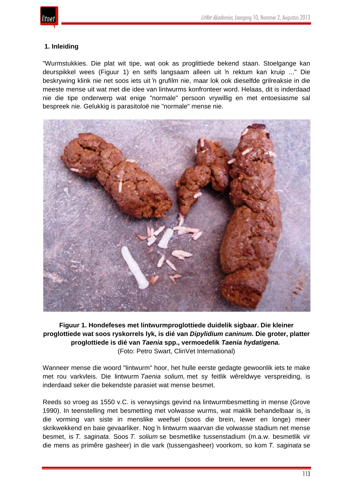## **1. Inleiding**

"Wurmstukkies. Die plat wit tipe, wat ook as proglittiede bekend staan. Stoelgange kan deurspikkel wees (Figuur 1) en selfs langsaam alleen uit 'n rektum kan kruip ..." Die beskrywing klink nie net soos iets uit 'n grufilm nie, maar lok ook dieselfde grilreaksie in die meeste mense uit wat met die idee van lintwurms konfronteer word. Helaas, dit is inderdaad nie die tipe onderwerp wat enige "normale" persoon vrywillig en met entoesiasme sal bespreek nie. Gelukkig is parasitoloë nie "normale" mense nie.



## **Figuur 1. Hondefeses met lintwurmproglottiede duidelik sigbaar. Die kleiner proglottiede wat soos ryskorrels lyk, is dié van** *Dipylidium caninum***. Die groter, platter proglottiede is dié van** *Taenia* **spp., vermoedelik** *Taenia hydatigena.* (Foto: Petro Swart, ClinVet International)

Wanneer mense die woord "lintwurm" hoor, het hulle eerste gedagte gewoonlik iets te make met rou varkvleis. Die lintwurm *Taenia solium,* met sy feitlik wêreldwye verspreiding, is inderdaad seker die bekendste parasiet wat mense besmet.

Reeds so vroeg as 1550 v.C. is verwysings gevind na lintwurmbesmetting in mense (Grove 1990). In teenstelling met besmetting met volwasse wurms, wat maklik behandelbaar is, is die vorming van siste in menslike weefsel (soos die brein, lewer en longe) meer skrikwekkend en baie gevaarliker. Nog 'n lintwurm waarvan die volwasse stadium net mense besmet, is *T. saginata*. Soos *T. solium* se besmetlike tussenstadium (m.a.w. besmetlik vir die mens as primêre gasheer) in die vark (tussengasheer) voorkom, so kom *T. saginata* se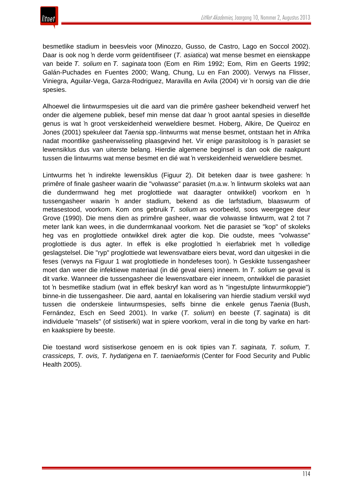

besmetlike stadium in beesvleis voor (Minozzo, Gusso, de Castro, Lago en Soccol 2002). Daar is ook nog 'n derde vorm geïdentifiseer (*T. asiatica*) wat mense besmet en eienskappe van beide *T. solium* en *T. saginata* toon (Eom en Rim 1992; Eom, Rim en Geerts 1992; Galán-Puchades en Fuentes 2000; Wang, Chung, Lu en Fan 2000). Verwys na Flisser, Viniegra, Aguilar-Vega, Garza-Rodriguez, Maravilla en Avila (2004) vir 'n oorsig van die drie spesies.

Alhoewel die lintwurmspesies uit die aard van die primêre gasheer bekendheid verwerf het onder die algemene publiek, besef min mense dat daar 'n groot aantal spesies in dieselfde genus is wat 'n groot verskeidenheid werweldiere besmet. Hoberg, Alkire, De Queiroz en Jones (2001) spekuleer dat *Taenia* spp.-lintwurms wat mense besmet, ontstaan het in Afrika nadat moontlike gasheerwisseling plaasgevind het. Vir enige parasitoloog is 'n parasiet se lewensiklus dus van uiterste belang. Hierdie algemene beginsel is dan ook die raakpunt tussen die lintwurms wat mense besmet en dié wat 'n verskeidenheid werweldiere besmet.

Lintwurms het 'n indirekte lewensiklus (Figuur 2). Dit beteken daar is twee gashere: 'n primêre of finale gasheer waarin die "volwasse" parasiet (m.a.w. 'n lintwurm skoleks wat aan die dundermwand heg met proglottiede wat daaragter ontwikkel) voorkom en 'n tussengasheer waarin 'n ander stadium, bekend as die larfstadium, blaaswurm of metasestood, voorkom. Kom ons gebruik *T. solium* as voorbeeld, soos weergegee deur Grove (1990). Die mens dien as primêre gasheer, waar die volwasse lintwurm, wat 2 tot 7 meter lank kan wees, in die dundermkanaal voorkom. Net die parasiet se "kop" of skoleks heg vas en proglottiede ontwikkel direk agter die kop. Die oudste, mees "volwasse" proglottiede is dus agter. In effek is elke proglottied 'n eierfabriek met 'n volledige geslagstelsel. Die "ryp" proglottiede wat lewensvatbare eiers bevat, word dan uitgeskei in die feses (verwys na Figuur 1 wat proglottiede in hondefeses toon). 'n Geskikte tussengasheer moet dan weer die infektiewe materiaal (in dié geval eiers) inneem. In *T. solium* se geval is dit varke. Wanneer die tussengasheer die lewensvatbare eier inneem, ontwikkel die parasiet tot 'n besmetlike stadium (wat in effek beskryf kan word as 'n "ingestulpte lintwurmkoppie") binne-in die tussengasheer. Die aard, aantal en lokalisering van hierdie stadium verskil wyd tussen die onderskeie lintwurmspesies, selfs binne die enkele genus *Taenia* (Bush, Fernández, Esch en Seed 2001). In varke (*T. solium*) en beeste (*T.* saginata) is dit individuele "masels" (of sistiserki) wat in spiere voorkom, veral in die tong by varke en harten kaakspiere by beeste.

Die toestand word sistiserkose genoem en is ook tipies van *T. saginata, T. solium, T. crassiceps, T. ovis, T. hydatigena* en *T. taeniaeformis* (Center for Food Security and Public Health 2005).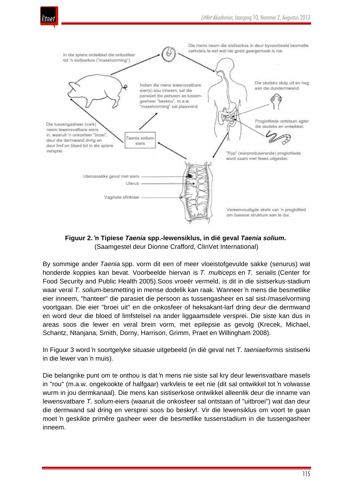



**Figuur 2. 'n Tipiese** *Taenia* **spp.-lewensiklus, in dié geval** *Taenia solium***.** (Saamgestel deur Dionne Crafford, ClinVet International)

By sommige ander *Taenia* spp. vorm dit een of meer vloeistofgevulde sakke (senurus) wat honderde koppies kan bevat. Voorbeelde hiervan is *T. multiceps* en *T. serialis* (Center for Food Security and Public Health 2005).Soos vroeër vermeld, is dit in die sistserkus-stadium waar veral *T. solium*-besmetting in mense dodelik kan raak. Wanneer 'n mens die besmetlike eier inneem, "hanteer" die parasiet die persoon as tussengasheer en sal sist-/maselvorming voortgaan. Die eier "broei uit" en die onkosfeer of heksakant-larf dring deur die dermwand en word deur die bloed of limfstelsel na ander liggaamsdele versprei. Die siste kan dus in areas soos die lewer en veral brein vorm, met epilepsie as gevolg (Krecek, Michael, Schantz, Ntanjana, Smith, Dorny, Harrison, Grimm, Praet en Willingham 2008).

In Figuur 3 word 'n soortgelyke situasie uitgebeeld (in dié geval net *T. taeniaeformis* sistiserki in die lewer van 'n muis).

Die belangrike punt om te onthou is dat 'n mens nie siste sal kry deur lewensvatbare masels in "rou" (m.a.w. ongekookte of halfgaar) varkvleis te eet nie (dit sal ontwikkel tot 'n volwasse wurm in jou dermkanaal). Die mens kan sistiserkose ontwikkel alleenlik deur die inname van lewensvatbare *T. solium*-eiers (waaruit die onkosfeer sal ontstaan of "uitbroei") wat dan deur die dermwand sal dring en versprei soos bo beskryf. Vir die lewensiklus om voort te gaan moet 'n geskikte primêre gasheer weer die besmetlike tussenstadium in die tussengasheer inneem.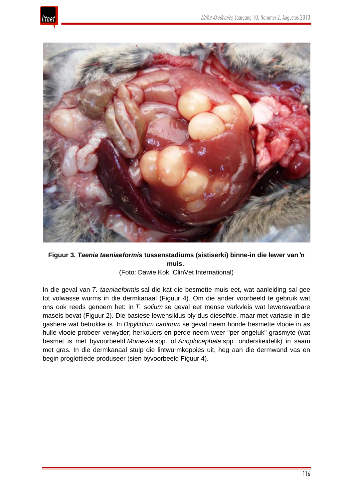



## **Figuur 3.** *Taenia taeniaeformis* **tussenstadiums (sistiserki) binne-in die lewer van 'n muis.**

#### (Foto: Dawie Kok, ClinVet International)

In die geval van *T. taeniaeformis* sal die kat die besmette muis eet, wat aanleiding sal gee tot volwasse wurms in die dermkanaal (Figuur 4). Om die ander voorbeeld te gebruik wat ons ook reeds genoem het: in *T. solium* se geval eet mense varkvleis wat lewensvatbare masels bevat (Figuur 2). Die basiese lewensiklus bly dus dieselfde, maar met variasie in die gashere wat betrokke is. In *Dipylidium caninum* se geval neem honde besmette vlooie in as hulle vlooie probeer verwyder; herkouers en perde neem weer "per ongeluk" grasmyte (wat besmet is met byvoorbeeld *Moniezia* spp. of *Anoplocephala* spp. onderskeidelik) in saam met gras. In die dermkanaal stulp die lintwurmkoppies uit, heg aan die dermwand vas en begin proglottiede produseer (sien byvoorbeeld Figuur 4).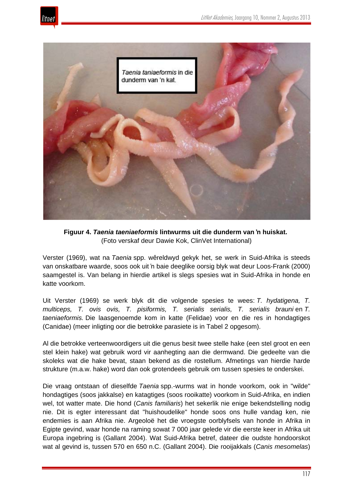



**Figuur 4.** *Taenia taeniaeformis* **lintwurms uit die dunderm van 'n huiskat.** (Foto verskaf deur Dawie Kok, ClinVet International)

Verster (1969), wat na *Taenia* spp. wêreldwyd gekyk het, se werk in Suid-Afrika is steeds van onskatbare waarde, soos ook uit 'n baie deeglike oorsig blyk wat deur Loos-Frank (2000) saamgestel is. Van belang in hierdie artikel is slegs spesies wat in Suid-Afrika in honde en katte voorkom.

Uit Verster (1969) se werk blyk dit die volgende spesies te wees: *T. hydatigena, T. multiceps, T. ovis ovis, T. pisiformis, T. serialis serialis, T. serialis brauni* en *T. taeniaeformis.* Die laasgenoemde kom in katte (Felidae) voor en die res in hondagtiges (Canidae) (meer inligting oor die betrokke parasiete is in Tabel 2 opgesom).

Al die betrokke verteenwoordigers uit die genus besit twee stelle hake (een stel groot en een stel klein hake) wat gebruik word vir aanhegting aan die dermwand. Die gedeelte van die skoleks wat die hake bevat, staan bekend as die rostellum. Afmetings van hierdie harde strukture (m.a.w. hake) word dan ook grotendeels gebruik om tussen spesies te onderskei.

Die vraag ontstaan of dieselfde *Taenia* spp.-wurms wat in honde voorkom, ook in "wilde" hondagtiges (soos jakkalse) en katagtiges (soos rooikatte) voorkom in Suid-Afrika, en indien wel, tot watter mate. Die hond (*Canis familiaris*) het sekerlik nie enige bekendstelling nodig nie. Dit is egter interessant dat "huishoudelike" honde soos ons hulle vandag ken, nie endemies is aan Afrika nie. Argeoloë het die vroegste oorblyfsels van honde in Afrika in Egipte gevind, waar honde na raming sowat 7 000 jaar gelede vir die eerste keer in Afrika uit Europa ingebring is (Gallant 2004). Wat Suid-Afrika betref, dateer die oudste hondoorskot wat al gevind is, tussen 570 en 650 n.C. (Gallant 2004). Die rooijakkals (*Canis mesomelas*)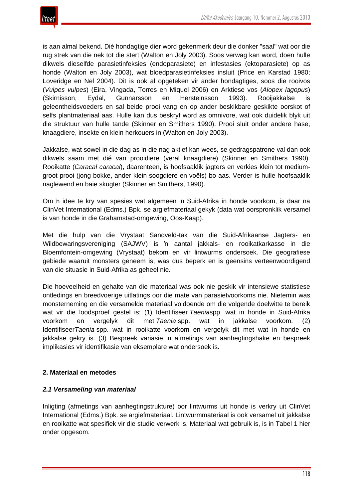is aan almal bekend. Dié hondagtige dier word gekenmerk deur die donker "saal" wat oor die rug strek van die nek tot die stert (Walton en Joly 2003). Soos verwag kan word, doen hulle dikwels dieselfde parasietinfeksies (endoparasiete) en infestasies (ektoparasiete) op as honde (Walton en Joly 2003), wat bloedparasietinfeksies insluit (Price en Karstad 1980; Loveridge en Nel 2004). Dit is ook al opgeteken vir ander hondagtiges, soos die rooivos (*Vulpes vulpes*) (Eira, Vingada, Torres en Miquel 2006) en Arktiese vos (*Alopex lagopus*) (Skirnisson, Eydal, Gunnarsson en Hersteinsson 1993). Rooijakkalse is geleentheidsvoeders en sal beide prooi vang en op ander beskikbare geskikte oorskot of selfs plantmateriaal aas. Hulle kan dus beskryf word as omnivore, wat ook duidelik blyk uit die struktuur van hulle tande (Skinner en Smithers 1990). Prooi sluit onder andere hase, knaagdiere, insekte en klein herkouers in (Walton en Joly 2003).

Jakkalse, wat sowel in die dag as in die nag aktief kan wees, se gedragspatrone val dan ook dikwels saam met dié van prooidiere (veral knaagdiere) (Skinner en Smithers 1990). Rooikatte (*Caracal caracal*), daarenteen, is hoofsaaklik jagters en verkies klein tot mediumgroot prooi (jong bokke, ander klein soogdiere en voëls) bo aas. Verder is hulle hoofsaaklik naglewend en baie skugter (Skinner en Smithers, 1990).

Om 'n idee te kry van spesies wat algemeen in Suid-Afrika in honde voorkom, is daar na ClinVet International (Edms.) Bpk. se argiefmateriaal gekyk (data wat oorspronklik versamel is van honde in die Grahamstad-omgewing, Oos-Kaap).

Met die hulp van die Vrystaat Sandveld-tak van die Suid-Afrikaanse Jagters- en Wildbewaringsvereniging (SAJWV) is 'n aantal jakkals- en rooikatkarkasse in die Bloemfontein-omgewing (Vrystaat) bekom en vir lintwurms ondersoek. Die geografiese gebiede waaruit monsters geneem is, was dus beperk en is geensins verteenwoordigend van die situasie in Suid-Afrika as geheel nie.

Die hoeveelheid en gehalte van die materiaal was ook nie geskik vir intensiewe statistiese ontledings en breedvoerige uitlatings oor die mate van parasietvoorkoms nie. Nietemin was monsterneming en die versamelde materiaal voldoende om die volgende doelwitte te bereik wat vir die loodsproef gestel is: (1) Identifiseer *Taenia*spp. wat in honde in Suid-Afrika voorkom en vergelyk dit met *Taenia* spp. wat in jakkalse voorkom. (2) Identifiseer*Taenia* spp. wat in rooikatte voorkom en vergelyk dit met wat in honde en jakkalse gekry is. (3) Bespreek variasie in afmetings van aanhegtingshake en bespreek implikasies vir identifikasie van eksemplare wat ondersoek is.

## **2. Materiaal en metodes**

#### *2.1 Versameling van materiaal*

Inligting (afmetings van aanhegtingstrukture) oor lintwurms uit honde is verkry uit ClinVet International (Edms.) Bpk. se argiefmateriaal. Lintwurmmateriaal is ook versamel uit jakkalse en rooikatte wat spesifiek vir die studie verwerk is. Materiaal wat gebruik is, is in Tabel 1 hier onder opgesom.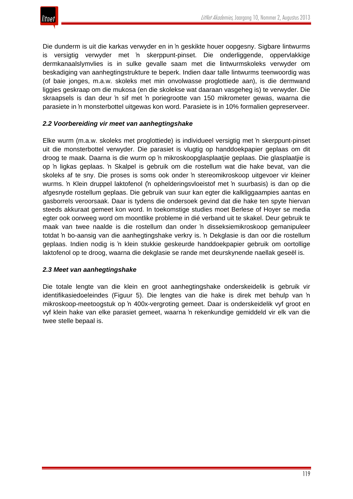

Die dunderm is uit die karkas verwyder en in 'n geskikte houer oopgesny. Sigbare lintwurms is versigtig verwyder met 'n skerppunt-pinset. Die onderliggende, oppervlakkige dermkanaalslymvlies is in sulke gevalle saam met die lintwurmskoleks verwyder om beskadiging van aanhegtingstrukture te beperk. Indien daar talle lintwurms teenwoordig was (of baie jonges, m.a.w. skoleks met min onvolwasse proglottiede aan), is die dermwand liggies geskraap om die mukosa (en die skolekse wat daaraan vasgeheg is) te verwyder. Die skraapsels is dan deur 'n sif met 'n poriegrootte van 150 mikrometer gewas, waarna die parasiete in 'n monsterbottel uitgewas kon word. Parasiete is in 10% formalien gepreserveer.

#### *2.2 Voorbereiding vir meet van aanhegtingshake*

Elke wurm (m.a.w. skoleks met proglottiede) is individueel versigtig met 'n skerppunt-pinset uit die monsterbottel verwyder. Die parasiet is vlugtig op handdoekpapier geplaas om dit droog te maak. Daarna is die wurm op 'n mikroskoopglasplaatjie geplaas. Die glasplaatjie is op 'n ligkas geplaas. 'n Skalpel is gebruik om die rostellum wat die hake bevat, van die skoleks af te sny. Die proses is soms ook onder 'n stereomikroskoop uitgevoer vir kleiner wurms. 'n Klein druppel laktofenol ('n ophelderingsvloeistof met 'n suurbasis) is dan op die afgesnyde rostellum geplaas. Die gebruik van suur kan egter die kalkliggaampies aantas en gasborrels veroorsaak. Daar is tydens die ondersoek gevind dat die hake ten spyte hiervan steeds akkuraat gemeet kon word. In toekomstige studies moet Berlese of Hoyer se media egter ook oorweeg word om moontlike probleme in dié verband uit te skakel. Deur gebruik te maak van twee naalde is die rostellum dan onder 'n disseksiemikroskoop gemanipuleer totdat 'n bo-aansig van die aanhegtingshake verkry is. 'n Dekglasie is dan oor die rostellum geplaas. Indien nodig is 'n klein stukkie geskeurde handdoekpapier gebruik om oortollige laktofenol op te droog, waarna die dekglasie se rande met deurskynende naellak geseël is.

#### *2.3 Meet van aanhegtingshake*

Die totale lengte van die klein en groot aanhegtingshake onderskeidelik is gebruik vir identifikasiedoeleindes (Figuur 5). Die lengtes van die hake is direk met behulp van 'n mikroskoop-meetoogstuk op 'n 400x-vergroting gemeet. Daar is onderskeidelik vyf groot en vyf klein hake van elke parasiet gemeet, waarna 'n rekenkundige gemiddeld vir elk van die twee stelle bepaal is.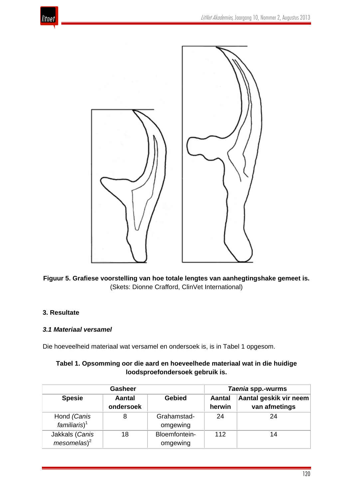



**Figuur 5. Grafiese voorstelling van hoe totale lengtes van aanhegtingshake gemeet is.** (Skets: Dionne Crafford, ClinVet International)

#### **3. Resultate**

#### *3.1 Materiaal versamel*

Die hoeveelheid materiaal wat versamel en ondersoek is, is in Tabel 1 opgesom.

| Tabel 1. Opsomming oor die aard en hoeveelhede materiaal wat in die huidige |  |
|-----------------------------------------------------------------------------|--|
| loodsproefondersoek gebruik is.                                             |  |

|                                         | <b>Gasheer</b>             | Taenia spp.-wurms         |                         |                                         |
|-----------------------------------------|----------------------------|---------------------------|-------------------------|-----------------------------------------|
| <b>Spesie</b>                           | <b>Aantal</b><br>ondersoek | <b>Gebied</b>             | <b>Aantal</b><br>herwin | Aantal geskik vir neem<br>van afmetings |
| Hond (Canis<br>familiaris) <sup>1</sup> | 8                          | Grahamstad-<br>omgewing   | 24                      | 24                                      |
| Jakkals (Canis<br>$mesomelas)^2$        | 18                         | Bloemfontein-<br>omgewing | 112                     | 14                                      |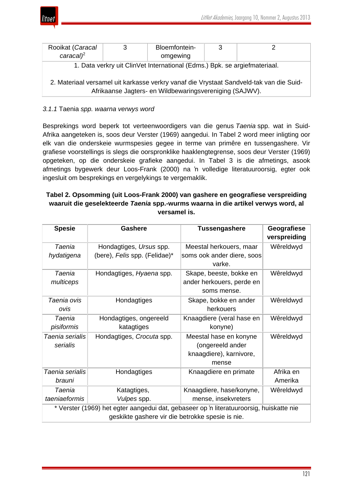

| Rooikat (Caracal                                                                                                                                   | 3 | Bloemfontein- | 3 |  |  |  |  |
|----------------------------------------------------------------------------------------------------------------------------------------------------|---|---------------|---|--|--|--|--|
| $caracal$ <sup>2</sup>                                                                                                                             |   | omgewing      |   |  |  |  |  |
| 1. Data verkry uit ClinVet International (Edms.) Bpk. se argiefmateriaal.                                                                          |   |               |   |  |  |  |  |
| 2. Materiaal versamel uit karkasse verkry vanaf die Vrystaat Sandveld-tak van die Suid-<br>Afrikaanse Jagters- en Wildbewaringsvereniging (SAJWV). |   |               |   |  |  |  |  |

#### *3.1.1* Taenia *spp. waarna verwys word*

Besprekings word beperk tot verteenwoordigers van die genus *Taenia* spp. wat in Suid-Afrika aangeteken is, soos deur Verster (1969) aangedui. In Tabel 2 word meer inligting oor elk van die onderskeie wurmspesies gegee in terme van primêre en tussengashere. Vir grafiese voorstellings is slegs die oorspronklike haaklengtegrense, soos deur Verster (1969) opgeteken, op die onderskeie grafieke aangedui. In Tabel 3 is die afmetings, asook afmetings bygewerk deur Loos-Frank (2000) na 'n volledige literatuuroorsig, egter ook ingesluit om besprekings en vergelykings te vergemaklik.

## **Tabel 2. Opsomming (uit Loos-Frank 2000) van gashere en geografiese verspreiding waaruit die geselekteerde** *Taenia* **spp.-wurms waarna in die artikel verwys word, al versamel is.**

| <b>Spesie</b>                                                                                                                               | <b>Gashere</b>                                           | <b>Tussengashere</b>                                                           | Geografiese<br>verspreiding |  |  |  |
|---------------------------------------------------------------------------------------------------------------------------------------------|----------------------------------------------------------|--------------------------------------------------------------------------------|-----------------------------|--|--|--|
| Taenia<br>hydatigena                                                                                                                        | Hondagtiges, Ursus spp.<br>(bere), Felis spp. (Felidae)* | Meestal herkouers, maar<br>soms ook ander diere, soos<br>varke.                | Wêreldwyd                   |  |  |  |
| Taenia<br>multiceps                                                                                                                         | Hondagtiges, Hyaena spp.                                 | Skape, beeste, bokke en<br>ander herkouers, perde en<br>soms mense.            | Wêreldwyd                   |  |  |  |
| Taenia ovis<br>ovis                                                                                                                         | Hondagtiges                                              | Skape, bokke en ander<br>herkouers                                             | Wêreldwyd                   |  |  |  |
| Taenia<br>pisiformis                                                                                                                        | Hondagtiges, ongereeld<br>katagtiges                     | Knaagdiere (veral hase en<br>konyne)                                           | Wêreldwyd                   |  |  |  |
| Taenia serialis<br>serialis                                                                                                                 | Hondagtiges, Crocuta spp.                                | Meestal hase en konyne<br>(ongereeld ander<br>knaagdiere), karnivore,<br>mense | Wêreldwyd                   |  |  |  |
| Taenia serialis<br>brauni                                                                                                                   | Hondagtiges                                              | Knaagdiere en primate                                                          | Afrika en<br>Amerika        |  |  |  |
| Taenia<br>taeniaeformis                                                                                                                     | Katagtiges,<br>Vulpes spp.                               | Knaagdiere, hase/konyne,<br>mense, insekvreters                                | Wêreldwyd                   |  |  |  |
| * Verster (1969) het egter aangedui dat, gebaseer op 'n literatuuroorsig, huiskatte nie<br>geskikte gashere vir die betrokke spesie is nie. |                                                          |                                                                                |                             |  |  |  |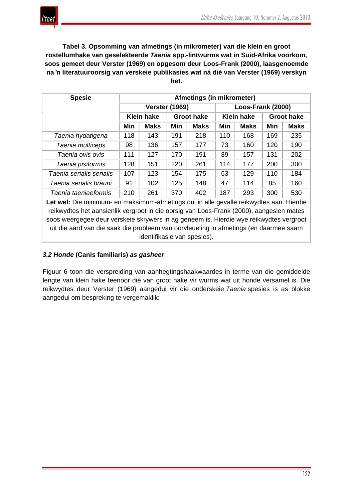**Tabel 3. Opsomming van afmetings (in mikrometer) van die klein en groot rostellumhake van geselekteerde** *Taenia* **spp.-lintwurms wat in Suid-Afrika voorkom, soos gemeet deur Verster (1969) en opgesom deur Loos-Frank (2000), laasgenoemde na 'n literatuuroorsig van verskeie publikasies wat ná dié van Verster (1969) verskyn het.**

| <b>Spesie</b>            | Afmetings (in mikrometer) |             |                   |             |                   |             |                   |             |
|--------------------------|---------------------------|-------------|-------------------|-------------|-------------------|-------------|-------------------|-------------|
|                          | <b>Verster (1969)</b>     |             |                   |             | Loos-Frank (2000) |             |                   |             |
|                          | <b>Klein hake</b>         |             | <b>Groot hake</b> |             | <b>Klein hake</b> |             | <b>Groot hake</b> |             |
|                          | Min                       | <b>Maks</b> | Min               | <b>Maks</b> | Min               | <b>Maks</b> | Min               | <b>Maks</b> |
| Taenia hydatigena        | 118                       | 143         | 191               | 218         | 110               | 168         | 169               | 235         |
| Taenia multiceps         | 98                        | 136         | 157               | 177         | 73                | 160         | 120               | 190         |
| Taenia ovis ovis         | 111                       | 127         | 170               | 191         | 89                | 157         | 131               | 202         |
| Taenia pisiformis        | 128                       | 151         | 220               | 261         | 114               | 177         | 200               | 300         |
| Taenia serialis serialis | 107                       | 123         | 154               | 175         | 63                | 129         | 110               | 184         |
| Taenia serialis brauni   | 91                        | 102         | 125               | 148         | 47                | 114         | 85                | 160         |
| Taenia taeniaeformis     | 210                       | 261         | 370               | 402         | 187               | 293         | 300               | 530         |

**Let wel:** Die minimum- en maksimum-afmetings dui in alle gevalle reikwydtes aan. Hierdie reikwydtes het aansienlik vergroot in die oorsig van Loos-Frank (2000), aangesien mates soos weergegee deur verskeie skrywers in ag geneem is. Hierdie wye reikwydtes vergroot uit die aard van die saak die probleem van oorvleueling in afmetings (en daarmee saam identifikasie van spesies).

## *3.2 Honde* **(Canis familiaris)** *as gasheer*

Figuur 6 toon die verspreiding van aanhegtingshaakwaardes in terme van die gemiddelde lengte van klein hake teenoor dié van groot hake vir wurms wat uit honde versamel is. Die reikwydtes deur Verster (1969) aangedui vir die onderskeie *Taenia* spesies is as blokke aangedui om bespreking te vergemaklik: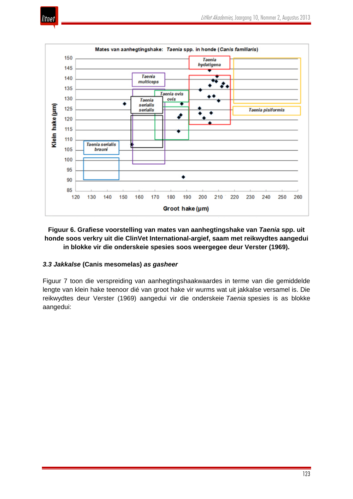





## **Figuur 6. Grafiese voorstelling van mates van aanhegtingshake van** *Taenia* **spp. uit honde soos verkry uit die ClinVet International-argief, saam met reikwydtes aangedui in blokke vir die onderskeie spesies soos weergegee deur Verster (1969).**

## *3.3 Jakkalse* **(Canis mesomelas)** *as gasheer*

Figuur 7 toon die verspreiding van aanhegtingshaakwaardes in terme van die gemiddelde lengte van klein hake teenoor dié van groot hake vir wurms wat uit jakkalse versamel is. Die reikwydtes deur Verster (1969) aangedui vir die onderskeie *Taenia* spesies is as blokke aangedui: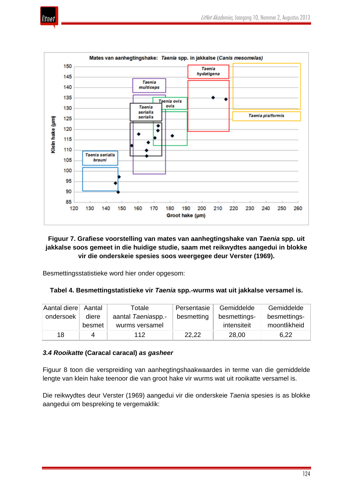



## **Figuur 7. Grafiese voorstelling van mates van aanhegtingshake van** *Taenia* **spp. uit jakkalse soos gemeet in die huidige studie, saam met reikwydtes aangedui in blokke vir die onderskeie spesies soos weergegee deur Verster (1969).**

Besmettingsstatistieke word hier onder opgesom:

#### **Tabel 4. Besmettingstatistieke vir** *Taenia* **spp.-wurms wat uit jakkalse versamel is.**

| Aantal diere Aantal |        | Totale             | Persentasie | Gemiddelde   | Gemiddelde   |
|---------------------|--------|--------------------|-------------|--------------|--------------|
| ondersoek           | diere  | aantal Taeniaspp.- | besmetting  | besmettings- | besmettings- |
|                     | besmet | wurms versamel     |             | intensiteit  | moontlikheid |
| 18                  | 4      | 112                | 22.22       | 28,00        | 6,22         |

#### *3.4 Rooikatte* **(Caracal caracal)** *as gasheer*

Figuur 8 toon die verspreiding van aanhegtingshaakwaardes in terme van die gemiddelde lengte van klein hake teenoor die van groot hake vir wurms wat uit rooikatte versamel is.

Die reikwydtes deur Verster (1969) aangedui vir die onderskeie *Taenia* spesies is as blokke aangedui om bespreking te vergemaklik: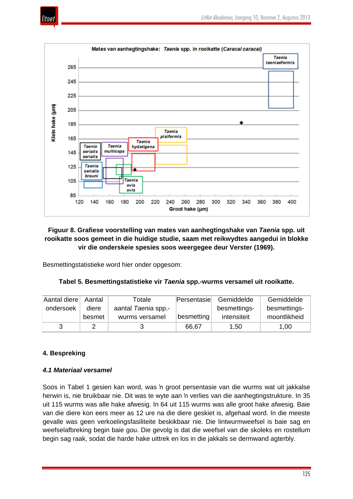



## **Figuur 8. Grafiese voorstelling van mates van aanhegtingshake van** *Taenia* **spp. uit rooikatte soos gemeet in die huidige studie, saam met reikwydtes aangedui in blokke vir die onderskeie spesies soos weergegee deur Verster (1969).**

Besmettingstatistieke word hier onder opgesom:

|  | Tabel 5. Besmettingstatistieke vir Taenia spp.-wurms versamel uit rooikatte. |
|--|------------------------------------------------------------------------------|
|--|------------------------------------------------------------------------------|

| Aantal diere | Aantal | Totale              | Persentasie | Gemiddelde   | Gemiddelde   |
|--------------|--------|---------------------|-------------|--------------|--------------|
| ondersoek    | diere  | aantal Taenia spp.- |             | besmettings- | besmettings- |
|              | besmet | wurms versamel      | besmetting  | intensiteit  | moontlikheid |
| 3            |        |                     | 66,67       | 1,50         | 1,00         |

## **4. Bespreking**

## *4.1 Materiaal versamel*

Soos in Tabel 1 gesien kan word, was 'n groot persentasie van die wurms wat uit jakkalse herwin is, nie bruikbaar nie. Dit was te wyte aan 'n verlies van die aanhegtingstrukture. In 35 uit 115 wurms was alle hake afwesig. In 64 uit 115 wurms was alle groot hake afwesig. Baie van die diere kon eers meer as 12 ure na die diere geskiet is, afgehaal word. In die meeste gevalle was geen verkoelingsfasiliteite beskikbaar nie. Die lintwurmweefsel is baie sag en weefselafbreking begin baie gou. Die gevolg is dat die weefsel van die skoleks en rostellum begin sag raak, sodat die harde hake uittrek en los in die jakkals se dermwand agterbly.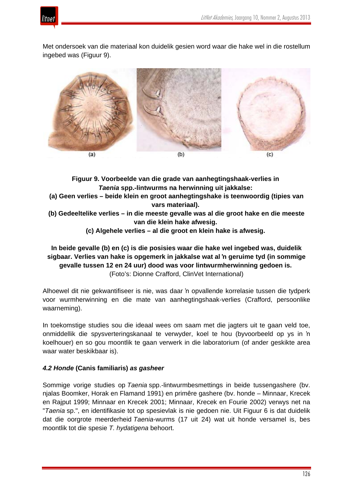



Met ondersoek van die materiaal kon duidelik gesien word waar die hake wel in die rostellum ingebed was (Figuur 9).



**Figuur 9. Voorbeelde van die grade van aanhegtingshaak-verlies in** *Taenia* **spp.-lintwurms na herwinning uit jakkalse:**

- **(a) Geen verlies – beide klein en groot aanhegtingshake is teenwoordig (tipies van vars materiaal).**
- **(b) Gedeeltelike verlies – in die meeste gevalle was al die groot hake en die meeste van die klein hake afwesig.**

**(c) Algehele verlies – al die groot en klein hake is afwesig.**

## **In beide gevalle (b) en (c) is die posisies waar die hake wel ingebed was, duidelik sigbaar. Verlies van hake is opgemerk in jakkalse wat al 'n geruime tyd (in sommige gevalle tussen 12 en 24 uur) dood was voor lintwurmherwinning gedoen is.** (Foto's: Dionne Crafford, ClinVet International)

Alhoewel dit nie gekwantifiseer is nie, was daar 'n opvallende korrelasie tussen die tydperk voor wurmherwinning en die mate van aanhegtingshaak-verlies (Crafford, persoonlike waarneming).

In toekomstige studies sou die ideaal wees om saam met die jagters uit te gaan veld toe, onmiddellik die spysverteringskanaal te verwyder, koel te hou (byvoorbeeld op ys in 'n koelhouer) en so gou moontlik te gaan verwerk in die laboratorium (of ander geskikte area waar water beskikbaar is).

## *4.2 Honde* **(Canis familiaris)** *as gasheer*

Sommige vorige studies op *Taenia* spp.-lintwurmbesmettings in beide tussengashere (bv. njalas Boomker, Horak en Flamand 1991) en primêre gashere (bv. honde – Minnaar, Krecek en Rajput 1999; Minnaar en Krecek 2001; Minnaar, Krecek en Fourie 2002) verwys net na "*Taenia* sp.", en identifikasie tot op spesievlak is nie gedoen nie. Uit Figuur 6 is dat duidelik dat die oorgrote meerderheid *Taenia*-wurms (17 uit 24) wat uit honde versamel is, bes moontlik tot die spesie *T. hydatigena* behoort.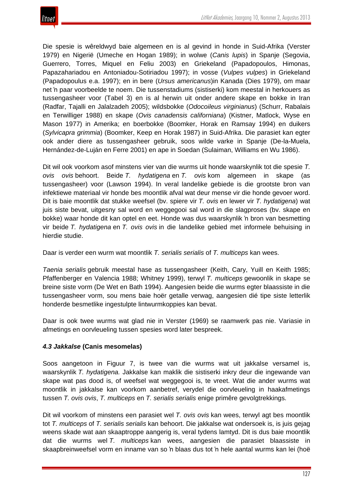

Die spesie is wêreldwyd baie algemeen en is al gevind in honde in Suid-Afrika (Verster 1979) en Nigerië (Umeche en Hogan 1989); in wolwe (*Canis lupis*) in Spanje (Segovia, Guerrero, Torres, Miquel en Feliu 2003) en Griekeland (Papadopoulos, Himonas, Papazahariadou en Antoniadou-Sotiriadou 1997); in vosse (*Vulpes vulpes*) in Griekeland (Papadopoulus e.a. 1997); en in bere (*Ursus americanus*)in Kanada (Dies 1979), om maar net 'n paar voorbeelde te noem. Die tussenstadiums (sistiserki) kom meestal in herkouers as tussengasheer voor (Tabel 3) en is al herwin uit onder andere skape en bokke in Iran (Radfar, Tajalli en Jalalzadeh 2005); wildsbokke (*Odocoileus virginianus*) (Schurr, Rabalais en Terwilliger 1988) en skape (*Ovis canadensis californiana*) (Kistner, Matlock, Wyse en Mason 1977) in Amerika; en boerbokke (Boomker, Horak en Ramsay 1994) en duikers (*Sylvicapra grimmia*) (Boomker, Keep en Horak 1987) in Suid-Afrika. Die parasiet kan egter ook ander diere as tussengasheer gebruik, soos wilde varke in Spanje (De-la-Muela, Hernández-de-Luján en Ferre 2001) en ape in Soedan (Sulaiman, Williams en Wu 1986).

Dit wil ook voorkom asof minstens vier van die wurms uit honde waarskynlik tot die spesie *T. ovis ovis* behoort. Beide *T. hydatigena* en *T. ovis* kom algemeen in skape (as tussengasheer) voor (Lawson 1994). In veral landelike gebiede is die grootste bron van infektiewe materiaal vir honde bes moontlik afval wat deur mense vir die honde gevoer word. Dit is baie moontlik dat stukke weefsel (bv. spiere vir *T. ovis* en lewer vir *T. hydatigena*) wat juis siste bevat, uitgesny sal word en weggegooi sal word in die slagproses (bv. skape en bokke) waar honde dit kan optel en eet. Honde was dus waarskynlik 'n bron van besmetting vir beide *T. hydatigena* en *T. ovis ovis* in die landelike gebied met informele behuising in hierdie studie.

Daar is verder een wurm wat moontlik *T. serialis serialis* of *T. multiceps* kan wees.

*Taenia serialis* gebruik meestal hase as tussengasheer (Keith, Cary, Yuill en Keith 1985; Pfaffenberger en Valencia 1988; Whitney 1999), terwyl *T. multiceps* gewoonlik in skape se breine siste vorm (De Wet en Bath 1994). Aangesien beide die wurms egter blaassiste in die tussengasheer vorm, sou mens baie hoër getalle verwag, aangesien dié tipe siste letterlik honderde besmetlike ingestulpte lintwurmkoppies kan bevat.

Daar is ook twee wurms wat glad nie in Verster (1969) se raamwerk pas nie. Variasie in afmetings en oorvleueling tussen spesies word later bespreek.

## *4.3 Jakkalse* **(Canis mesomelas)**

Soos aangetoon in Figuur 7, is twee van die wurms wat uit jakkalse versamel is, waarskynlik *T. hydatigena.* Jakkalse kan maklik die sistiserki inkry deur die ingewande van skape wat pas dood is, of weefsel wat weggegooi is, te vreet. Wat die ander wurms wat moontlik in jakkalse kan voorkom aanbetref, verydel die oorvleueling in haakafmetings tussen *T. ovis ovis*, *T. multiceps* en *T. serialis serialis* enige primêre gevolgtrekkings.

Dit wil voorkom of minstens een parasiet wel *T. ovis ovis* kan wees, terwyl agt bes moontlik tot *T. multiceps* of *T. serialis serialis* kan behoort. Die jakkalse wat ondersoek is, is juis gejag weens skade wat aan skaaptroppe aangerig is, veral tydens lamtyd. Dit is dus baie moontlik dat die wurms wel *T. multiceps* kan wees, aangesien die parasiet blaassiste in skaapbreinweefsel vorm en inname van so 'n blaas dus tot 'n hele aantal wurms kan lei (hoë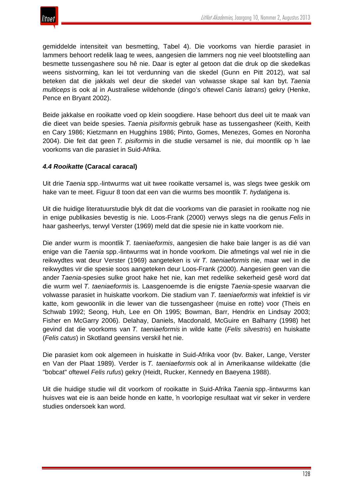

gemiddelde intensiteit van besmetting, Tabel 4). Die voorkoms van hierdie parasiet in lammers behoort redelik laag te wees, aangesien die lammers nog nie veel blootstelling aan besmette tussengashere sou hê nie. Daar is egter al getoon dat die druk op die skedelkas weens sistvorming, kan lei tot verdunning van die skedel (Gunn en Pitt 2012), wat sal beteken dat die jakkals wel deur die skedel van volwasse skape sal kan byt. *Taenia multiceps* is ook al in Australiese wildehonde (dingo's oftewel *Canis latrans*) gekry (Henke, Pence en Bryant 2002).

Beide jakkalse en rooikatte voed op klein soogdiere. Hase behoort dus deel uit te maak van die dieet van beide spesies. *Taenia pisiformis* gebruik hase as tussengasheer (Keith, Keith en Cary 1986; Kietzmann en Hugghins 1986; Pinto, Gomes, Menezes, Gomes en Noronha 2004). Die feit dat geen *T. pisiformis* in die studie versamel is nie, dui moontlik op 'n lae voorkoms van die parasiet in Suid-Afrika.

#### *4.4 Rooikatte* **(Caracal caracal)**

Uit drie *Taenia* spp.-lintwurms wat uit twee rooikatte versamel is, was slegs twee geskik om hake van te meet. Figuur 8 toon dat een van die wurms bes moontlik *T. hydatigena* is.

Uit die huidige literatuurstudie blyk dit dat die voorkoms van die parasiet in rooikatte nog nie in enige publikasies bevestig is nie. Loos-Frank (2000) verwys slegs na die genus *Felis* in haar gasheerlys, terwyl Verster (1969) meld dat die spesie nie in katte voorkom nie.

Die ander wurm is moontlik *T. taeniaeformis*, aangesien die hake baie langer is as dié van enige van die *Taenia* spp.-lintwurms wat in honde voorkom. Die afmetings val wel nie in die reikwydtes wat deur Verster (1969) aangeteken is vir *T. taeniaeformis* nie, maar wel in die reikwydtes vir die spesie soos aangeteken deur Loos-Frank (2000). Aangesien geen van die ander *Taenia*-spesies sulke groot hake het nie, kan met redelike sekerheid gesê word dat die wurm wel *T. taeniaeformis* is. Laasgenoemde is die enigste *Taenia*-spesie waarvan die volwasse parasiet in huiskatte voorkom. Die stadium van *T. taeniaeformis* wat infektief is vir katte, kom gewoonlik in die lewer van die tussengasheer (muise en rotte) voor (Theis en Schwab 1992; Seong, Huh, Lee en Oh 1995; Bowman, Barr, Hendrix en Lindsay 2003; Fisher en McGarry 2006). Delahay, Daniels, Macdonald, McGuire en Balharry (1998) het gevind dat die voorkoms van *T. taeniaeformis* in wilde katte (*Felis silvestris*) en huiskatte (*Felis catus*) in Skotland geensins verskil het nie.

Die parasiet kom ook algemeen in huiskatte in Suid-Afrika voor (bv. Baker, Lange, Verster en Van der Plaat 1989). Verder is *T. taeniaeformis* ook al in Amerikaanse wildekatte (die "bobcat" oftewel *Felis rufus*) gekry (Heidt, Rucker, Kennedy en Baeyena 1988).

Uit die huidige studie wil dit voorkom of rooikatte in Suid-Afrika *Taenia* spp.-lintwurms kan huisves wat eie is aan beide honde en katte, 'n voorlopige resultaat wat vir seker in verdere studies ondersoek kan word.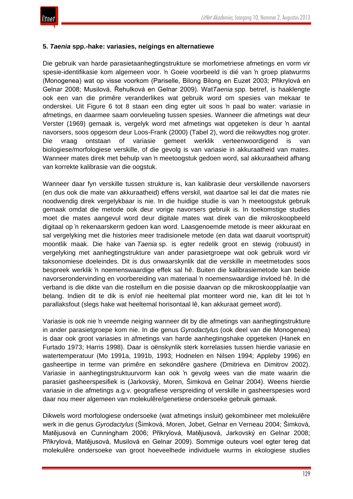

#### **5.** *Taenia* **spp.-hake: variasies, neigings en alternatiewe**

Die gebruik van harde parasietaanhegtingstrukture se morfometriese afmetings en vorm vir spesie-identifikasie kom algemeen voor. 'n Goeie voorbeeld is dié van 'n groep platwurms (Monogenea) wat op visse voorkom (Pariselle, Bilong Bilong en Euzet 2003; Přikrylová en Gelnar 2008; Musilová, Řehulková en Gelnar 2009). Wat*Taenia* spp. betref, is haaklengte ook een van die primêre veranderlikes wat gebruik word om spesies van mekaar te onderskei. Uit Figure 6 tot 8 staan een ding egter uit soos 'n paal bo water: variasie in afmetings, en daarmee saam oorvleueling tussen spesies. Wanneer die afmetings wat deur Verster (1969) gemaak is, vergelyk word met afmetings wat opgeteken is deur 'n aantal navorsers, soos opgesom deur Loos-Frank (2000) (Tabel 2), word die reikwydtes nog groter. Die vraag ontstaan of variasie gemeet werklik verteenwoordigend is van biologiese/morfologiese verskille, of die gevolg is van variasie in akkuraatheid van mates. Wanneer mates direk met behulp van 'n meetoogstuk gedoen word, sal akkuraatheid afhang van korrekte kalibrasie van die oogstuk.

Wanneer daar fyn verskille tussen strukture is, kan kalibrasie deur verskillende navorsers (en dus ook die mate van akkuraatheid) effens verskil, wat daartoe sal lei dat die mates nie noodwendig direk vergelykbaar is nie. In die huidige studie is van 'n meetoogstuk gebruik gemaak omdat die metode ook deur vorige navorsers gebruik is. In toekomstige studies moet die mates aangevul word deur digitale mates wat direk van die mikroskoopbeeld digitaal op 'n rekenaarskerm gedoen kan word. Laasgenoemde metode is meer akkuraat en sal vergelyking met die histories meer tradisionele metode (en data wat daaruit voortspruit) moontlik maak. Die hake van *Taenia* sp. is egter redelik groot en stewig (robuust) in vergelyking met aanhegtingstrukture van ander parasietgroepe wat ook gebruik word vir taksonomiese doeleindes. Dit is dus onwaarskynlik dat die verskille in meetmetodes soos bespreek werklik 'n noemenswaardige effek sal hê. Buiten die kalibrasiemetode kan beide navorserondervinding en voorbereiding van materiaal 'n noemenswaardige invloed hê. In dié verband is die dikte van die rostellum en die posisie daarvan op die mikroskoopplaatjie van belang. Indien dit te dik is en/of nie heeltemal plat monteer word nie, kan dit lei tot 'n parallaksfout (slegs hake wat heeltemal horisontaal lê, kan akkuraat gemeet word).

Variasie is ook nie 'n vreemde neiging wanneer dit by die afmetings van aanhegtingstrukture in ander parasietgroepe kom nie. In die genus *Gyrodactylus* (ook deel van die Monogenea) is daar ook groot variasies in afmetings van harde aanhegtingshake opgeteken (Hanek en Furtado 1973; Harris 1998). Daar is oënskynlik sterk korrelasies tussen hierdie variasie en watertemperatuur (Mo 1991a, 1991b, 1993; Hodnelen en Nilsen 1994; Appleby 1996) en gasheertipe in terme van primêre en sekondêre gashere (Dmitrieva en Dimitrov 2002). Variasie in aanhegtingstruktuurvorm kan ook 'n gevolg wees van die mate waarin die parasiet gasheerspesifiek is (Jarkovský, Moren, Šimková en Gelnar 2004). Weens hierdie variasie in die afmetings a.g.v. geografiese verspreiding of verskille in gasheerspesies word daar nou meer algemeen van molekulêre/genetiese ondersoeke gebruik gemaak.

Dikwels word morfologiese ondersoeke (wat afmetings insluit) gekombineer met molekulêre werk in die genus *Gyrodactylus* (Šimková, Moren, Jobet, Gelnar en Verneau 2004; Šimková, Matějusová en Cunningham 2006; Přikrylová, Matějusová, Jarkovský en Gelnar 2008; Přikrylová, Matějusová, Musilová en Gelnar 2009). Sommige outeurs voel egter tereg dat molekulêre ondersoeke van groot hoeveelhede individuele wurms in ekologiese studies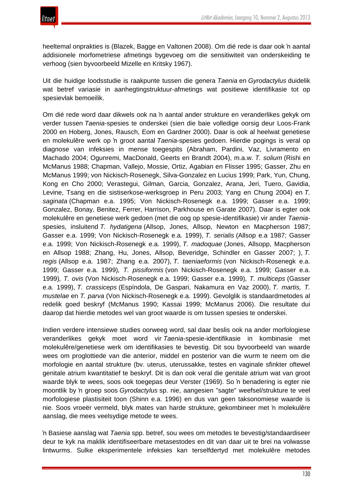

heeltemal onprakties is (Blazek, Bagge en Valtonen 2008). Om dié rede is daar ook 'n aantal addisionele morfometriese afmetings bygevoeg om die sensitiwiteit van onderskeiding te verhoog (sien byvoorbeeld Mizelle en Kritsky 1967).

Uit die huidige loodsstudie is raakpunte tussen die genera *Taenia* en *Gyrodactylus* duidelik wat betref variasie in aanhegtingstruktuur-afmetings wat positiewe identifikasie tot op spesievlak bemoeilik.

Om dié rede word daar dikwels ook na 'n aantal ander strukture en veranderlikes gekyk om verder tussen *Taenia*-spesies te onderskei (sien die baie volledige oorsig deur Loos-Frank 2000 en Hoberg, Jones, Rausch, Eom en Gardner 2000). Daar is ook al heelwat genetiese en molekulêre werk op 'n groot aantal *Taenia*-spesies gedoen. Hierdie pogings is veral op diagnose van infeksies in mense toegespits (Abraham, Pardini, Vaz, Livramento en Machado 2004; Ogunremi, MacDonald, Geerts en Brandt 2004), m.a.w. *T. solium* (Rishi en McManus 1988; Chapman, Vallejo, Mossie, Ortiz, Agabian en Flisser 1995; Gasser, Zhu en McManus 1999; von Nickisch-Rosenegk, Silva-Gonzalez en Lucius 1999; Park, Yun, Chung, Kong en Cho 2000; Verastegui, Gilman, Garcia, Gonzalez, Arana, Jeri, Tuero, Gavidia, Levine, Tsang en die sistiserkose-werksgroep in Peru 2003; Yang en Chung 2004) en *T. saginata* (Chapman e.a. 1995; Von Nickisch-Rosenegk e.a. 1999; Gasser e.a. 1999; Gonzalez, Bonay, Benitez, Ferrer, Harrison, Parkhouse en Garate 2007). Daar is egter ook molekulêre en genetiese werk gedoen (met die oog op spesie-identifikasie) vir ander *Taenia*spesies, insluitend *T. hydatigena* (Allsop, Jones, Allsop, Newton en Macpherson 1987; Gasser e.a. 1999; Von Nickisch-Rosenegk e.a. 1999), *T. serialis* (Allsop e.a 1987; Gasser e.a. 1999; Von Nickisch-Rosenegk e.a. 1999), *T. madoquae* (Jones, Allsopp, Macpherson en Allsop 1988; Zhang, Hu, Jones, Allsop, Beveridge, Schindler en Gasser 2007; ), *T. regis* (Allsop e.a. 1987; Zhang e.a. 2007), *T. taeniaeformis* (von Nickisch-Rosenegk e.a. 1999; Gasser e.a. 1999)*, T. pissiformis* (von Nickisch-Rosenegk e.a. 1999; Gasser e.a. 1999)*, T. ovis* (Von Nickisch-Rosenegk e.a. 1999; Gasser e.a. 1999)*, T. multiceps* (Gasser e.a. 1999), *T. crassiceps* (Espíndola, De Gaspari, Nakamura en Vaz 2000), *T. martis, T. mustelae* en *T. parva* (Von Nickisch-Rosenegk e.a. 1999). Gevolglik is standaardmetodes al redelik goed beskryf (McManus 1990; Kassai 1999; McManus 2006). Die resultate dui daarop dat hierdie metodes wel van groot waarde is om tussen spesies te onderskei.

Indien verdere intensiewe studies oorweeg word, sal daar beslis ook na ander morfologiese veranderlikes gekyk moet word vir *Taenia*-spesie-identifikasie in kombinasie met molekulêre/genetiese werk om identifikasies te bevestig. Dit sou byvoorbeeld van waarde wees om proglottiede van die anterior, middel en posterior van die wurm te neem om die morfologie en aantal strukture (bv. uterus, uterussakke, testes en vaginale sfinkter oftewel genitale atrium kwantitatief te beskryf. Dit is dan ook veral die genitale atrium wat van groot waarde blyk te wees, soos ook toegepas deur Verster (1969). So 'n benadering is egter nie moontlik by 'n groep soos *Gyrodactylus* sp. nie, aangesien "sagte" weefsel/strukture te veel morfologiese plastisiteit toon (Shinn e.a. 1996) en dus van geen taksonomiese waarde is nie. Soos vroeër vermeld, blyk mates van harde strukture, gekombineer met 'n molekulêre aanslag, die mees veelsydige metode te wees.

'n Basiese aanslag wat *Taenia* spp. betref, sou wees om metodes te bevestig/standaardiseer deur te kyk na maklik identifiseerbare metasestodes en dit van daar uit te brei na volwasse lintwurms. Sulke eksperimentele infeksies kan terselfdertyd met molekulêre metodes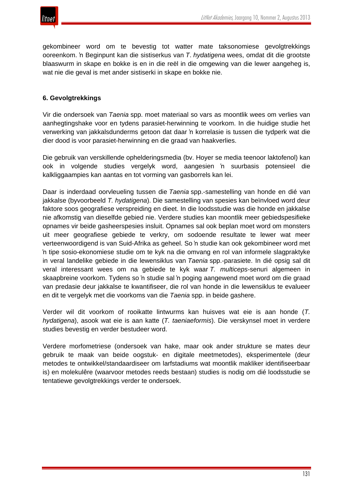

gekombineer word om te bevestig tot watter mate taksonomiese gevolgtrekkings ooreenkom. 'n Beginpunt kan die sistiserkus van *T*. *hydatigena* wees, omdat dit die grootste blaaswurm in skape en bokke is en in die reël in die omgewing van die lewer aangeheg is, wat nie die geval is met ander sistiserki in skape en bokke nie.

#### **6. Gevolgtrekkings**

Vir die ondersoek van *Taenia* spp. moet materiaal so vars as moontlik wees om verlies van aanhegtingshake voor en tydens parasiet-herwinning te voorkom. In die huidige studie het verwerking van jakkalsdunderms getoon dat daar 'n korrelasie is tussen die tydperk wat die dier dood is voor parasiet-herwinning en die graad van haakverlies.

Die gebruik van verskillende ophelderingsmedia (bv. Hoyer se media teenoor laktofenol) kan ook in volgende studies vergelyk word, aangesien 'n suurbasis potensieel die kalkliggaampies kan aantas en tot vorming van gasborrels kan lei.

Daar is inderdaad oorvleueling tussen die *Taenia* spp.-samestelling van honde en dié van jakkalse (byvoorbeeld *T. hydatigena*). Die samestelling van spesies kan beïnvloed word deur faktore soos geografiese verspreiding en dieet. In die loodsstudie was die honde en jakkalse nie afkomstig van dieselfde gebied nie. Verdere studies kan moontlik meer gebiedspesifieke opnames vir beide gasheerspesies insluit. Opnames sal ook beplan moet word om monsters uit meer geografiese gebiede te verkry, om sodoende resultate te lewer wat meer verteenwoordigend is van Suid-Afrika as geheel. So 'n studie kan ook gekombineer word met 'n tipe sosio-ekonomiese studie om te kyk na die omvang en rol van informele slagpraktyke in veral landelike gebiede in die lewensiklus van *Taenia* spp.-parasiete. In dié opsig sal dit veral interessant wees om na gebiede te kyk waar *T. multiceps*-senuri algemeen in skaapbreine voorkom. Tydens so 'n studie sal 'n poging aangewend moet word om die graad van predasie deur jakkalse te kwantifiseer, die rol van honde in die lewensiklus te evalueer en dit te vergelyk met die voorkoms van die *Taenia* spp. in beide gashere.

Verder wil dit voorkom of rooikatte lintwurms kan huisves wat eie is aan honde (*T. hydatigena*), asook wat eie is aan katte (*T. taeniaeformis*). Die verskynsel moet in verdere studies bevestig en verder bestudeer word.

Verdere morfometriese (ondersoek van hake, maar ook ander strukture se mates deur gebruik te maak van beide oogstuk- en digitale meetmetodes), eksperimentele (deur metodes te ontwikkel/standaardiseer om larfstadiums wat moontlik makliker identifiseerbaar is) en molekulêre (waarvoor metodes reeds bestaan) studies is nodig om dié loodsstudie se tentatiewe gevolgtrekkings verder te ondersoek.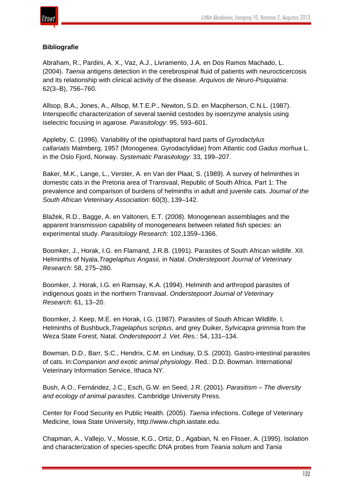

#### **Bibliografie**

Abraham, R., Pardini, A. X., Vaz, A.J., Livramento, J.A. en Dos Ramos Machado, L. (2004). *Taenia* antigens detection in the cerebrospinal fluid of patients with neurocticercosis and its relationship with clinical activity of the disease. *Arquivos de Neuro-Psiquiatria*: 62(3–B), 756–760.

Allsop, B.A., Jones, A., Allsop, M.T.E.P., Newton, S.D. en Macpherson, C.N.L. (1987). Interspecific characterization of several taeniid cestodes by isoenzyme analysis using iselectric focusing in agarose. *Parasitology*: 95, 593–601.

Appleby, C. (1996). Variability of the opisthaptoral hard parts of *Gyrodactylus callariatis* Malmberg, 1957 (Monogenea: Gyrodactylidae) from Atlantic cod *Gadus morhua* L. in the Oslo Fjord, Norway. *Systematic Parasitology*: 33, 199–207.

Baker, M.K., Lange, L., Verster, A. en Van der Plaat, S. (1989). A survey of helminthes in domestic cats in the Pretoria area of Transvaal, Republic of South Africa. Part 1: The prevalence and comparison of burdens of helminths in adult and juvenile cats. *Journal of the South African Veterinary Association*: 60(3), 139–142.

Blažek, R.D., Bagge, A. en Valtonen, E.T. (2008). Monogenean assemblages and the apparent transmission capability of monogeneans between related fish species: an experimental study. *Parasitology Research*: 102,1359–1366.

Boomker, J., Horak, I.G. en Flamand, J.R.B. (1991). Parasites of South African wildlife. XII. Helminths of Nyala,*Tragelaphus Angasii,* in Natal. *Onderstepoort Journal of Veterinary Research*: 58, 275–280.

Boomker, J. Horak, I.G. en Ramsay, K.A. (1994). Helminth and arthropod parasites of indigenous goats in the northern Transvaal. *Onderstepoort Journal of Veterinary Research*: 61, 13–20.

Boomker, J. Keep, M.E. en Horak, I.G. (1987). Parasites of South African Wildlife. I. Helminths of Bushbuck,*Tragelaphus scriptus*, and grey Duiker, S*ylvicapra grimmia* from the Weza State Forest, Natal. *Onderstepoort J. Vet. Res.*: 54, 131–134.

Bowman, D.D., Barr, S.C., Hendrix, C.M. en Lindsay, D.S. (2003). Gastro-intestinal parasites of cats. In:*Companion and exotic animal physiology*. Red.: D.D. Bowman. International Veterinary Information Service, Ithaca NY.

Bush, A.O., Fernández, J.C., Esch, G.W. en Seed, J.R. (2001). *Parasitism – The diversity and ecology of animal parasites*. Cambridge University Press.

Center for Food Security en Public Health. (2005). *Taenia* infections. College of Veterinary Medicine, Iowa State University, http://www.cfsph.iastate.edu.

Chapman, A., Vallejo, V., Mossie, K.G., Ortiz, D., Agabian, N. en Flisser, A. (1995). Isolation and characterization of species-specific DNA probes from *Teania solium* and *Tania*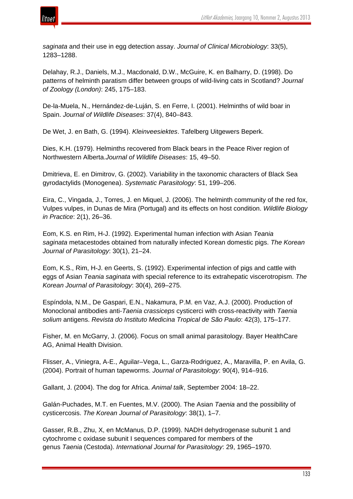



*saginata* and their use in egg detection assay. *Journal of Clinical Microbiology*: 33(5), 1283–1288.

Delahay, R.J., Daniels, M.J., Macdonald, D.W., McGuire, K. en Balharry, D. (1998). Do patterns of helminth paratism differ between groups of wild-living cats in Scotland? *Journal of Zoology (London)*: 245, 175–183.

De-la-Muela, N., Hernández-de-Luján, S. en Ferre, I. (2001). Helminths of wild boar in Spain. *Journal of Wildlife Diseases*: 37(4), 840–843.

De Wet, J. en Bath, G. (1994). *Kleinveesiektes*. Tafelberg Uitgewers Beperk.

Dies, K.H. (1979). Helminths recovered from Black bears in the Peace River region of Northwestern Alberta.*Journal of Wildlife Diseases*: 15, 49–50.

Dmitrieva, E. en Dimitrov, G. (2002). Variability in the taxonomic characters of Black Sea gyrodactylids (Monogenea). *Systematic Parasitology*: 51, 199–206.

Eira, C., Vingada, J., Torres, J. en Miquel, J. (2006). The helminth community of the red fox, Vulpes vulpes, in Dunas de Mira (Portugal) and its effects on host condition. *Wildlife Biology in Practice*: 2(1), 26–36.

Eom, K.S. en Rim, H-J. (1992). Experimental human infection with Asian *Teania saginata* metacestodes obtained from naturally infected Korean domestic pigs. *The Korean Journal of Parasitology*: 30(1), 21–24.

Eom, K.S., Rim, H-J. en Geerts, S. (1992). Experimental infection of pigs and cattle with eggs of Asian *Teania saginata* with special reference to its extrahepatic viscerotropism. *The Korean Journal of Parasitology*: 30(4), 269–275.

Espíndola, N.M., De Gaspari, E.N., Nakamura, P.M. en Vaz, A.J. (2000). Production of Monoclonal antibodies anti-*Taenia crassiceps* cysticerci with cross-reactivity with *Taenia solium* antigens. *Revista do Instituto Medicina Tropical de São Paulo*: 42(3), 175–177.

Fisher, M. en McGarry, J. (2006). Focus on small animal parasitology. Bayer HealthCare AG, Animal Health Division.

Flisser, A., Viniegra, A-E., Aguilar–Vega, L., Garza-Rodriguez, A., Maravilla, P. en Avila, G. (2004). Portrait of human tapeworms. *Journal of Parasitology*: 90(4), 914–916.

Gallant, J. (2004). The dog for Africa. *Animal talk*, September 2004: 18–22.

Galán-Puchades, M.T. en Fuentes, M.V. (2000). The Asian *Taenia* and the possibility of cysticercosis. *The Korean Journal of Parasitology*: 38(1), 1–7.

Gasser, R.B., Zhu, X, en McManus, D.P. (1999). NADH dehydrogenase subunit 1 and cytochrome c oxidase subunit I sequences compared for members of the genus *Taenia* (Cestoda). *International Journal for Parasitology*: 29, 1965–1970.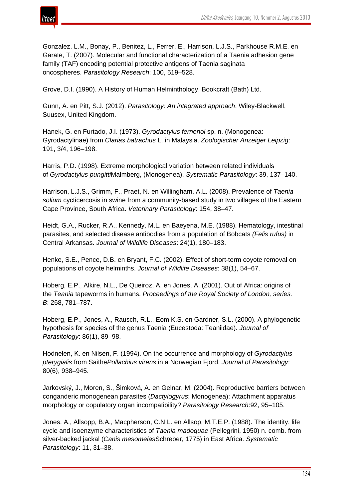

Gonzalez, L.M., Bonay, P., Benitez, L., Ferrer, E., Harrison, L.J.S., Parkhouse R.M.E. en Garate, T. (2007). Molecular and functional characterization of a Taenia adhesion gene family (TAF) encoding potential protective antigens of Taenia saginata oncospheres. *Parasitology Research*: 100, 519–528.

Grove, D.I. (1990). A History of Human Helminthology. Bookcraft (Bath) Ltd.

Gunn, A. en Pitt, S.J. (2012). *Parasitology: An integrated approach*. Wiley-Blackwell, Suusex, United Kingdom.

Hanek, G. en Furtado, J.I. (1973). *Gyrodactylus fernenoi* sp. n. (Monogenea: Gyrodactylinae) from *Clarias batrachus* L. in Malaysia. *Zoologischer Anzeiger Leipzig*: 191, 3/4, 196–198.

Harris, P.D. (1998). Extreme morphological variation between related individuals of *Gyrodactylus pungitti*Malmberg, (Monogenea). *Systematic Parasitology*: 39, 137–140.

Harrison, L.J.S., Grimm, F., Praet, N. en Willingham, A.L. (2008). Prevalence of *Taenia solium* cycticercosis in swine from a community-based study in two villages of the Eastern Cape Province, South Africa. *Veterinary Parasitology*: 154, 38–47.

Heidt, G.A., Rucker, R.A., Kennedy, M.L. en Baeyena, M.E. (1988). Hematology, intestinal parasites, and selected disease antibodies from a population of Bobcats *(Felis rufus)* in Central Arkansas. *Journal of Wildlife Diseases*: 24(1), 180–183.

Henke, S.E., Pence, D.B. en Bryant, F.C. (2002). Effect of short-term coyote removal on populations of coyote helminths. *Journal of Wildlife Diseases*: 38(1), 54–67.

Hoberg, E.P., Alkire, N.L., De Queiroz, A. en Jones, A. (2001). Out of Africa: origins of the *Teania* tapeworms in humans. *Proceedings of the Royal Society of London, series. B*: 268, 781–787.

Hoberg, E.P., Jones, A., Rausch, R.L., Eom K.S. en Gardner, S.L. (2000). A phylogenetic hypothesis for species of the genus Taenia (Eucestoda: Teaniidae). *Journal of Parasitology*: 86(1), 89–98.

Hodnelen, K. en Nilsen, F. (1994). On the occurrence and morphology of *Gyrodactylus pterygialis* from Saithe*Pollachius virens* in a Norwegian Fjord. *Journal of Parasitology*: 80(6), 938–945.

Jarkovský, J., Moren, S., Šimková, A. en Gelnar, M. (2004). Reproductive barriers between conganderic monogenean parasites (*Dactylogyrus*: Monogenea): Attachment apparatus morphology or copulatory organ incompatibility? *Parasitology Research*:92, 95–105.

Jones, A., Allsopp, B.A., Macpherson, C.N.L. en Allsop, M.T.E.P. (1988). The identity, life cycle and isoenzyme characteristics of *Taenia madoquae* (Pellegrini, 1950) n. comb. from silver-backed jackal (*Canis mesomelas*Schreber, 1775) in East Africa. *Systematic Parasitology*: 11, 31–38.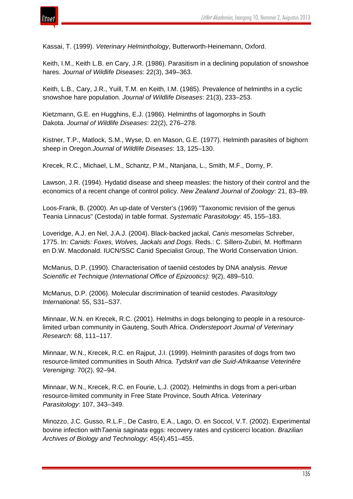

Kassai, T. (1999). *Veterinary Helminthology*, Butterworth-Heinemann, Oxford.

Keith, I.M., Keith L.B. en Cary, J.R. (1986). Parasitism in a declining population of snowshoe hares. *Journal of Wildlife Diseases*: 22(3), 349–363.

Keith, L.B., Cary, J.R., Yuill, T.M. en Keith, I.M. (1985). Prevalence of helminths in a cyclic snowshoe hare population. *Journal of Wildlife Diseases*: 21(3), 233–253.

Kietzmann, G.E. en Hugghins, E.J. (1986). Helminths of lagomorphs in South Dakota. *Journal of Wildlife Diseases*: 22(2), 276–278.

Kistner, T.P., Matlock, S.M., Wyse, D. en Mason, G.E. (1977). Helminth parasites of bighorn sheep in Oregon.*Journal of Wildlife Diseases*: 13, 125–130.

Krecek, R.C., Michael, L.M., Schantz, P.M., Ntanjana, L., Smith, M.F., Dorny, P.

Lawson, J.R. (1994). Hydatid disease and sheep measles: the history of their control and the economics of a recent change of control policy. *New Zealand Journal of Zoology*: 21, 83–89.

Loos-Frank, B. (2000). An up-date of Verster's (1969) "Taxonomic revision of the genus Teania Linnacus" (Cestoda) in table format. *Systematic Parasitology*: 45, 155–183.

Loveridge, A.J. en Nel, J.A.J. (2004). Black-backed jackal, *Canis mesomelas* Schreber, 1775. In: *Canids: Foxes, Wolves, Jackals and Dogs*. Reds.: C. Sillero-Zubiri, M. Hoffmann en D.W. Macdonald. IUCN/SSC Canid Specialist Group, The World Conservation Union.

McManus, D.P. (1990). Characterisation of taeniid cestodes by DNA analysis. *Revue Scientific et Technique (International Office of Epizootics)*: 9(2), 489–510.

McManus, D.P. (2006). Molecular discrimination of teaniid cestodes. *Parasitology International*: 55, S31–S37.

Minnaar, W.N. en Krecek, R.C. (2001). Helmiths in dogs belonging to people in a resourcelimited urban community in Gauteng, South Africa. *Onderstepoort Journal of Veterinary Research*: 68, 111–117.

Minnaar, W.N., Krecek, R.C. en Rajput, J.I. (1999). Helminth parasites of dogs from two resource-limited communities in South Africa. *Tydskrif van die Suid-Afrikaanse Veterinêre Vereniging*: 70(2), 92–94.

Minnaar, W.N., Krecek, R.C. en Fourie, L.J. (2002). Helminths in dogs from a peri-urban resource-limited community in Free State Province, South Africa. *Veterinary Parasitology*: 107, 343–349.

Minozzo, J.C. Gusso, R.L.F., De Castro, E.A., Lago, O. en Soccol, V.T. (2002). Experimental bovine infection with*Taenia saginata* eggs: recovery rates and cysticerci location. *Brazilian Archives of Biology and Technology*: 45(4),451–455.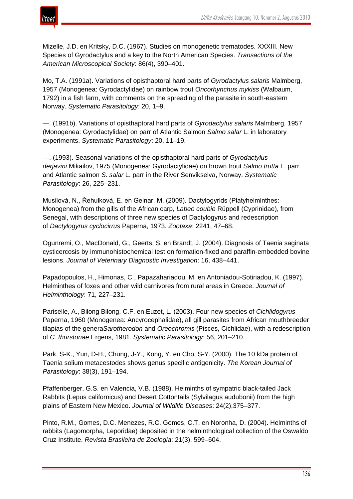

Mizelle, J.D. en Kritsky, D.C. (1967). Studies on monogenetic trematodes. XXXIII. New Species of Gyrodactylus and a key to the North American Species. *Transactions of the American Microscopical Society*: 86(4), 390–401.

Mo, T.A. (1991a). Variations of opisthaptoral hard parts of *Gyrodactylus salaris* Malmberg, 1957 (Monogenea: Gyrodactylidae) on rainbow trout *Oncorhynchus mykiss* (Walbaum, 1792) in a fish farm, with comments on the spreading of the parasite in south-eastern Norway. *Systematic Parasitology*: 20, 1–9.

—. (1991b). Variations of opisthaptoral hard parts of *Gyrodactylus salaris* Malmberg, 1957 (Monogenea: Gyrodactylidae) on parr of Atlantic Salmon *Salmo salar* L. in laboratory experiments. *Systematic Parasitology*: 20, 11–19.

—. (1993). Seasonal variations of the opisthaptoral hard parts of *Gyrodactylus derjavini* Mikailov, 1975 (Monogenea: Gyrodactylidae) on brown trout *Salmo trutta* L. parr and Atlantic salmon *S. salar* L. parr in the River Senvikselva, Norway. *Systematic Parasitology*: 26, 225–231.

Musilová, N., Řehulková, E. en Gelnar, M. (2009). Dactylogyrids (Platyhelminthes: Monogenea) from the gills of the African carp, *Labeo coubie* Rüppell (Cyprinidae), from Senegal, with descriptions of three new species of Dactylogyrus and redescription of *Dactylogyrus cyclocirrus* Paperna, 1973. *Zootaxa*: 2241, 47–68.

Ogunremi, O., MacDonald, G., Geerts, S. en Brandt, J. (2004). Diagnosis of Taenia saginata cysticercosis by immunohistochemical test on formation-fixed and paraffin-embedded bovine lesions. *Journal of Veterinary Diagnostic Investigation*: 16, 438–441.

Papadopoulos, H., Himonas, C., Papazahariadou, M. en Antoniadou-Sotiriadou, K. (1997). Helminthes of foxes and other wild carnivores from rural areas in Greece. *Journal of Helminthology*: 71, 227–231.

Pariselle, A., Bilong Bilong, C.F. en Euzet, L. (2003). Four new species of *Cichlidogyrus* Paperna, 1960 (Monogenea: Ancyrocephalidae), all gill parasites from African mouthbreeder tilapias of the genera*Sarotherodon* and *Oreochromis* (Pisces, Cichlidae), with a redescription of *C. thurstonae* Ergens, 1981. *Systematic Parasitology*: 56, 201–210.

Park, S-K., Yun, D-H., Chung, J-Y., Kong, Y. en Cho, S-Y. (2000). The 10 kDa protein of Taenia solium metacestodes shows genus specific antigenicity. *The Korean Journal of Parasitology*: 38(3), 191–194.

Pfaffenberger, G.S. en Valencia, V.B. (1988). Helminths of sympatric black-tailed Jack Rabbits (Lepus californicus) and Desert Cottontails (Sylvilagus audubonii) from the high plains of Eastern New Mexico. *Journal of Wildlife Diseases*: 24(2),375–377.

Pinto, R.M., Gomes, D.C. Menezes, R.C. Gomes, C.T. en Noronha, D. (2004). Helminths of rabbits (Lagomorpha, Leporidae) deposited in the helminthological collection of the Oswaldo Cruz Institute. *Revista Brasileira de Zoologia*: 21(3), 599–604.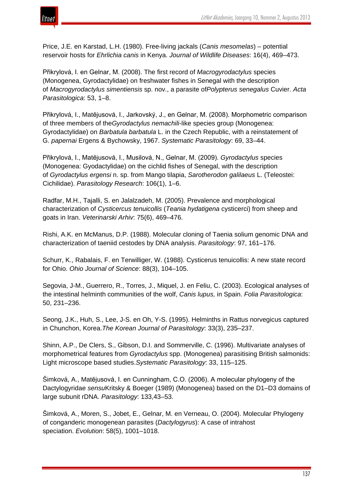

Price, J.E. en Karstad, L.H. (1980). Free-living jackals (*Canis mesomelas*) – potential reservoir hosts for *Ehrlichia canis* in Kenya. *Journal of Wildlife Diseases*: 16(4), 469–473.

Přikrylová, I. en Gelnar, M. (2008). The first record of *Macrogyrodactylus* species (Monogenea, Gyrodactylidae) on freshwater fishes in Senegal with the description of *Macrogyrodactylus simentiensis* sp. nov., a parasite of*Polypterus senegalus* Cuvier. *Acta Parasitologica*: 53, 1–8.

Přikrylová, I., Matĕjusová, I., Jarkovský, J., en Gelnar, M. (2008). Morphometric comparison of three members of the*Gyrodactylus nemachili*-like species group (Monogenea: Gyrodactylidae) on *Barbatula barbatula* L. in the Czech Republic, with a reinstatement of G. *papernai* Ergens & Bychowsky, 1967. *Systematic Parasitology*: 69, 33–44.

Přikrylová, I., Matĕjusová, I., Musilová, N., Gelnar, M. (2009). *Gyrodactylus* species (Monogenea: Gyodactylidae) on the cichlid fishes of Senegal, with the description of *Gyrodactylus ergensi* n. sp. from Mango tilapia, *Sarotherodon galilaeus* L. (Teleostei: Cichilidae). *Parasitology Research*: 106(1), 1–6.

Radfar, M.H., Tajalli, S. en Jalalzadeh, M. (2005). Prevalence and morphological characterization of *Cysticercus tenuicollis* (*Teania hydatigena* cysticerci) from sheep and goats in Iran. *Veterinarski Arhiv*: 75(6), 469–476.

Rishi, A.K. en McManus, D.P. (1988). Molecular cloning of Taenia solium genomic DNA and characterization of taeniid cestodes by DNA analysis. *Parasitology*: 97, 161–176.

Schurr, K., Rabalais, F. en Terwilliger, W. (1988). Cysticerus tenuicollis: A new state record for Ohio. *Ohio Journal of Science*: 88(3), 104–105.

Segovia, J-M., Guerrero, R., Torres, J., Miquel, J. en Feliu, C. (2003). Ecological analyses of the intestinal helminth communities of the wolf, *Canis lupus,* in Spain. *Folia Parasitologica*: 50, 231–236.

Seong, J.K., Huh, S., Lee, J-S. en Oh, Y-S. (1995). Helminths in Rattus norvegicus captured in Chunchon, Korea.*The Korean Journal of Parasitology*: 33(3), 235–237.

Shinn, A.P., De Clers, S., Gibson, D.I. and Sommerville, C. (1996). Multivariate analyses of morphometrical features from *Gyrodactylus* spp. (Monogenea) parasitising British salmonids: Light microscope based studies.*Systematic Parasitology*: 33, 115–125.

Šimková, A., Matĕjusová, I. en Cunningham, C.O. (2006). A molecular phylogeny of the Dactylogyridae *sensu*Kritsky & Boeger (1989) (Monogenea) based on the D1–D3 domains of large subunit rDNA. *Parasitology*: 133,43–53.

Šimková, A., Moren, S., Jobet, E., Gelnar, M. en Verneau, O. (2004). Molecular Phylogeny of conganderic monogenean parasites (*Dactylogyrus*): A case of intrahost speciation. *Evolution*: 58(5), 1001–1018.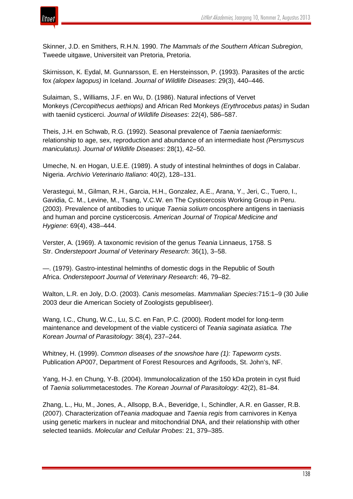

Skinner, J.D. en Smithers, R.H.N. 1990. *The Mammals of the Southern African Subregion*, Tweede uitgawe, Universiteit van Pretoria, Pretoria.

Skirnisson, K. Eydal, M. Gunnarsson, E. en Hersteinsson, P. (1993). Parasites of the arctic fox *(alopex lagopus)* in Iceland. *Journal of Wildlife Diseases*: 29(3), 440–446.

Sulaiman, S., Williams, J.F. en Wu, D. (1986). Natural infections of Vervet Monkeys *(Cercopithecus aethiops)* and African Red Monkeys *(Erythrocebus patas)* in Sudan with taeniid cysticerci. *Journal of Wildlife Diseases*: 22(4), 586–587.

Theis, J.H. en Schwab, R.G. (1992). Seasonal prevalence of *Taenia taeniaeformis*: relationship to age, sex, reproduction and abundance of an intermediate host *(Persmyscus maniculatus). Journal of Wildlife Diseases*: 28(1), 42–50.

Umeche, N. en Hogan, U.E.E. (1989). A study of intestinal helminthes of dogs in Calabar. Nigeria. *Archivio Veterinario Italiano*: 40(2), 128–131.

Verastegui, M., Gilman, R.H., Garcia, H.H., Gonzalez, A.E., Arana, Y., Jeri, C., Tuero, I., Gavidia, C. M., Levine, M., Tsang, V.C.W. en The Cysticercosis Working Group in Peru. (2003). Prevalence of antibodies to unique *Taenia solium* oncosphere antigens in taeniasis and human and porcine cysticercosis. *American Journal of Tropical Medicine and Hygiene*: 69(4), 438–444.

Verster, A. (1969). A taxonomic revision of the genus *Teania* Linnaeus, 1758. S Str. *Onderstepoort Journal of Veterinary Research*: 36(1), 3–58.

—. (1979). Gastro-intestinal helminths of domestic dogs in the Republic of South Africa. *Onderstepoort Journal of Veterinary Research*: 46, 79–82.

Walton, L.R. en Joly, D.O. (2003). *Canis mesomelas*. *Mammalian Species*:715:1–9 (30 Julie 2003 deur die American Society of Zoologists gepubliseer).

Wang, I.C., Chung, W.C., Lu, S.C. en Fan, P.C. (2000). Rodent model for long-term maintenance and development of the viable cysticerci of *Teania saginata asiatica. The Korean Journal of Parasitology*: 38(4), 237–244.

Whitney, H. (1999). *Common diseases of the snowshoe hare (1): Tapeworm cysts*. Publication AP007, Department of Forest Resources and Agrifoods, St. John's, NF.

Yang, H-J. en Chung, Y-B. (2004). Immunolocalization of the 150 kDa protein in cyst fluid of *Taenia solium*metacestodes. *The Korean Journal of Parasitology*: 42(2), 81–84.

Zhang, L., Hu, M., Jones, A., Allsopp, B.A., Beveridge, I., Schindler, A.R. en Gasser, R.B. (2007). Characterization of*Teania madoquae* and *Taenia regis* from carnivores in Kenya using genetic markers in nuclear and mitochondrial DNA, and their relationship with other selected teaniids. *Molecular and Cellular Probes*: 21, 379–385.